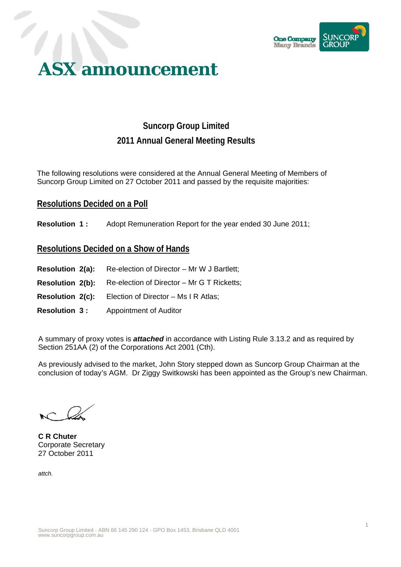

# **ASX announcement**

## **Suncorp Group Limited 2011 Annual General Meeting Results**

The following resolutions were considered at the Annual General Meeting of Members of Suncorp Group Limited on 27 October 2011 and passed by the requisite majorities:

#### **Resolutions Decided on a Poll**

**Resolution 1:** Adopt Remuneration Report for the year ended 30 June 2011;

### **Resolutions Decided on a Show of Hands**

- **Resolution 2(a):** Re-election of Director Mr W J Bartlett;
- **Resolution 2(b):** Re-election of Director Mr G T Ricketts;
- **Resolution 2(c):** Election of Director Ms I R Atlas;
- **Resolution 3 :** Appointment of Auditor

A summary of proxy votes is *attached* in accordance with Listing Rule 3.13.2 and as required by Section 251AA (2) of the Corporations Act 2001 (Cth).

As previously advised to the market, John Story stepped down as Suncorp Group Chairman at the conclusion of today's AGM. Dr Ziggy Switkowski has been appointed as the Group's new Chairman.

**C R Chuter**  Corporate Secretary 27 October 2011

*attch.*